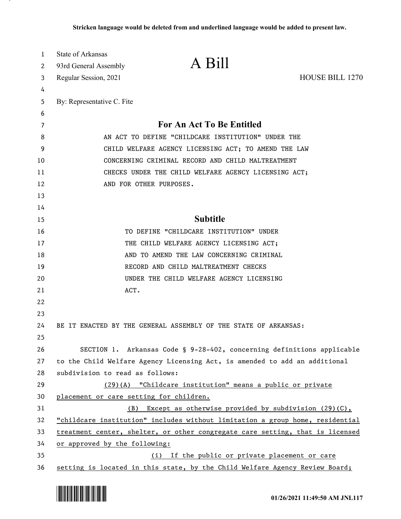| 1<br>2 | State of Arkansas<br>93rd General Assembly                                    | A Bill                                                                        |                        |
|--------|-------------------------------------------------------------------------------|-------------------------------------------------------------------------------|------------------------|
| 3      | Regular Session, 2021                                                         |                                                                               | <b>HOUSE BILL 1270</b> |
| 4      |                                                                               |                                                                               |                        |
| 5      | By: Representative C. Fite                                                    |                                                                               |                        |
| 6      |                                                                               |                                                                               |                        |
| 7      |                                                                               | For An Act To Be Entitled                                                     |                        |
| 8      | AN ACT TO DEFINE "CHILDCARE INSTITUTION" UNDER THE                            |                                                                               |                        |
| 9      | CHILD WELFARE AGENCY LICENSING ACT; TO AMEND THE LAW                          |                                                                               |                        |
| 10     | CONCERNING CRIMINAL RECORD AND CHILD MALTREATMENT                             |                                                                               |                        |
| 11     | CHECKS UNDER THE CHILD WELFARE AGENCY LICENSING ACT;                          |                                                                               |                        |
| 12     |                                                                               | AND FOR OTHER PURPOSES.                                                       |                        |
| 13     |                                                                               |                                                                               |                        |
| 14     |                                                                               |                                                                               |                        |
| 15     |                                                                               | <b>Subtitle</b>                                                               |                        |
| 16     |                                                                               | TO DEFINE "CHILDCARE INSTITUTION" UNDER                                       |                        |
| 17     |                                                                               | THE CHILD WELFARE AGENCY LICENSING ACT;                                       |                        |
| 18     |                                                                               | AND TO AMEND THE LAW CONCERNING CRIMINAL                                      |                        |
| 19     |                                                                               | RECORD AND CHILD MALTREATMENT CHECKS                                          |                        |
| 20     |                                                                               | UNDER THE CHILD WELFARE AGENCY LICENSING                                      |                        |
| 21     |                                                                               | ACT.                                                                          |                        |
| 22     |                                                                               |                                                                               |                        |
| 23     |                                                                               |                                                                               |                        |
| 24     |                                                                               | BE IT ENACTED BY THE GENERAL ASSEMBLY OF THE STATE OF ARKANSAS:               |                        |
| 25     |                                                                               |                                                                               |                        |
| 26     |                                                                               | SECTION 1. Arkansas Code § 9-28-402, concerning definitions applicable        |                        |
| 27     |                                                                               | to the Child Welfare Agency Licensing Act, is amended to add an additional    |                        |
| 28     | subdivision to read as follows:                                               |                                                                               |                        |
| 29     |                                                                               | (29)(A) "Childcare institution" means a public or private                     |                        |
| 30     |                                                                               | placement or care setting for children.                                       |                        |
| 31     |                                                                               | Except as otherwise provided by subdivision (29)(C),<br>(B)                   |                        |
| 32     |                                                                               | "childcare institution" includes without limitation a group home, residential |                        |
| 33     | treatment center, shelter, or other congregate care setting, that is licensed |                                                                               |                        |
| 34     | or approved by the following:                                                 |                                                                               |                        |
| 35     |                                                                               | (i) If the public or private placement or care                                |                        |
| 36     |                                                                               | setting is located in this state, by the Child Welfare Agency Review Board;   |                        |

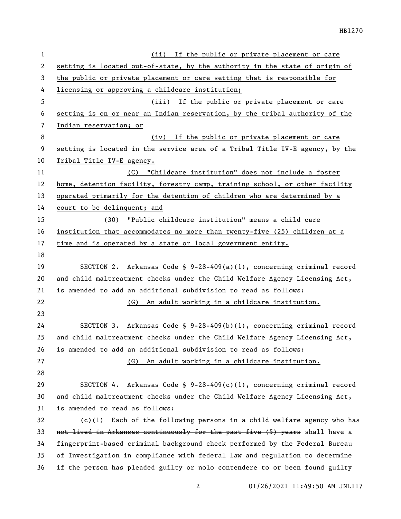| 1  | (ii) If the public or private placement or care                              |  |  |
|----|------------------------------------------------------------------------------|--|--|
| 2  | setting is located out-of-state, by the authority in the state of origin of  |  |  |
| 3  | the public or private placement or care setting that is responsible for      |  |  |
| 4  | licensing or approving a childcare institution;                              |  |  |
| 5  | (iii) If the public or private placement or care                             |  |  |
| 6  | setting is on or near an Indian reservation, by the tribal authority of the  |  |  |
| 7  | Indian reservation; or                                                       |  |  |
| 8  | If the public or private placement or care<br>(iv)                           |  |  |
| 9  | setting is located in the service area of a Tribal Title IV-E agency, by the |  |  |
| 10 | Tribal Title IV-E agency.                                                    |  |  |
| 11 | (C) "Childcare institution" does not include a foster                        |  |  |
| 12 | home, detention facility, forestry camp, training school, or other facility  |  |  |
| 13 | operated primarily for the detention of children who are determined by a     |  |  |
| 14 | court to be delinquent; and                                                  |  |  |
| 15 | (30) "Public childcare institution" means a child care                       |  |  |
| 16 | institution that accommodates no more than twenty-five (25) children at a    |  |  |
| 17 | time and is operated by a state or local government entity.                  |  |  |
| 18 |                                                                              |  |  |
| 19 | SECTION 2. Arkansas Code § $9-28-409(a)(1)$ , concerning criminal record     |  |  |
| 20 | and child maltreatment checks under the Child Welfare Agency Licensing Act,  |  |  |
| 21 | is amended to add an additional subdivision to read as follows:              |  |  |
| 22 | An adult working in a childcare institution.<br>(G)                          |  |  |
| 23 |                                                                              |  |  |
| 24 | Arkansas Code § 9-28-409(b)(1), concerning criminal record<br>SECTION 3.     |  |  |
| 25 | and child maltreatment checks under the Child Welfare Agency Licensing Act,  |  |  |
| 26 | is amended to add an additional subdivision to read as follows:              |  |  |
| 27 | An adult working in a childcare institution.<br>(G)                          |  |  |
| 28 |                                                                              |  |  |
| 29 | SECTION 4. Arkansas Code § $9-28-409(c)(1)$ , concerning criminal record     |  |  |
| 30 | and child maltreatment checks under the Child Welfare Agency Licensing Act,  |  |  |
| 31 | is amended to read as follows:                                               |  |  |
| 32 | $(c)(1)$ Each of the following persons in a child welfare agency who has     |  |  |
| 33 | not lived in Arkansas continuously for the past five (5) years shall have a  |  |  |
| 34 | fingerprint-based criminal background check performed by the Federal Bureau  |  |  |
| 35 | of Investigation in compliance with federal law and regulation to determine  |  |  |
| 36 | if the person has pleaded guilty or nolo contendere to or been found guilty  |  |  |